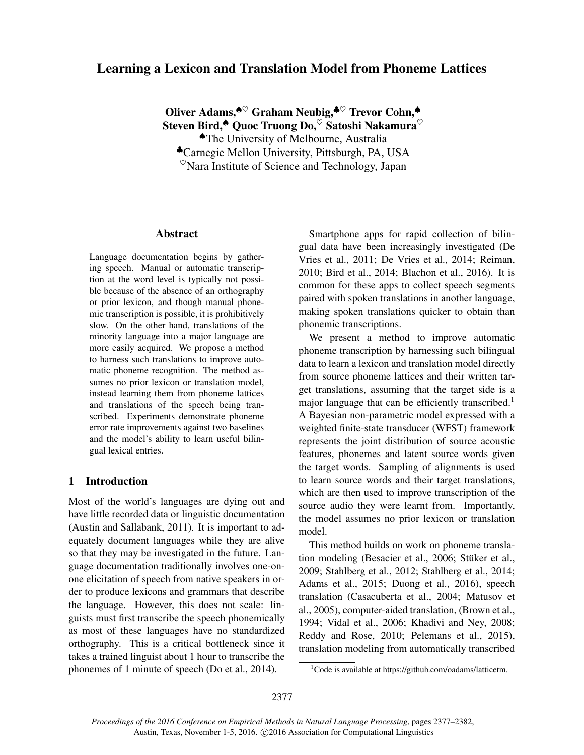# Learning a Lexicon and Translation Model from Phoneme Lattices

Oliver Adams,<sup>◆♡</sup> Graham Neubig,<sup>◆♡</sup> Trevor Cohn,◆ Steven Bird,<sup>▲</sup> Quoc Truong Do, Satoshi Nakamura ♠The University of Melbourne, Australia ♣Carnegie Mellon University, Pittsburgh, PA, USA  $\%$ Nara Institute of Science and Technology, Japan

#### Abstract

Language documentation begins by gathering speech. Manual or automatic transcription at the word level is typically not possible because of the absence of an orthography or prior lexicon, and though manual phonemic transcription is possible, it is prohibitively slow. On the other hand, translations of the minority language into a major language are more easily acquired. We propose a method to harness such translations to improve automatic phoneme recognition. The method assumes no prior lexicon or translation model, instead learning them from phoneme lattices and translations of the speech being transcribed. Experiments demonstrate phoneme error rate improvements against two baselines and the model's ability to learn useful bilingual lexical entries.

# 1 Introduction

Most of the world's languages are dying out and have little recorded data or linguistic documentation (Austin and Sallabank, 2011). It is important to adequately document languages while they are alive so that they may be investigated in the future. Language documentation traditionally involves one-onone elicitation of speech from native speakers in order to produce lexicons and grammars that describe the language. However, this does not scale: linguists must first transcribe the speech phonemically as most of these languages have no standardized orthography. This is a critical bottleneck since it takes a trained linguist about 1 hour to transcribe the phonemes of 1 minute of speech (Do et al., 2014).

Smartphone apps for rapid collection of bilingual data have been increasingly investigated (De Vries et al., 2011; De Vries et al., 2014; Reiman, 2010; Bird et al., 2014; Blachon et al., 2016). It is common for these apps to collect speech segments paired with spoken translations in another language, making spoken translations quicker to obtain than phonemic transcriptions.

We present a method to improve automatic phoneme transcription by harnessing such bilingual data to learn a lexicon and translation model directly from source phoneme lattices and their written target translations, assuming that the target side is a major language that can be efficiently transcribed.<sup>1</sup> A Bayesian non-parametric model expressed with a weighted finite-state transducer (WFST) framework represents the joint distribution of source acoustic features, phonemes and latent source words given the target words. Sampling of alignments is used to learn source words and their target translations, which are then used to improve transcription of the source audio they were learnt from. Importantly, the model assumes no prior lexicon or translation model.

This method builds on work on phoneme translation modeling (Besacier et al., 2006; Stüker et al., 2009; Stahlberg et al., 2012; Stahlberg et al., 2014; Adams et al., 2015; Duong et al., 2016), speech translation (Casacuberta et al., 2004; Matusov et al., 2005), computer-aided translation, (Brown et al., 1994; Vidal et al., 2006; Khadivi and Ney, 2008; Reddy and Rose, 2010; Pelemans et al., 2015), translation modeling from automatically transcribed

<sup>&</sup>lt;sup>1</sup>Code is available at https://github.com/oadams/latticetm.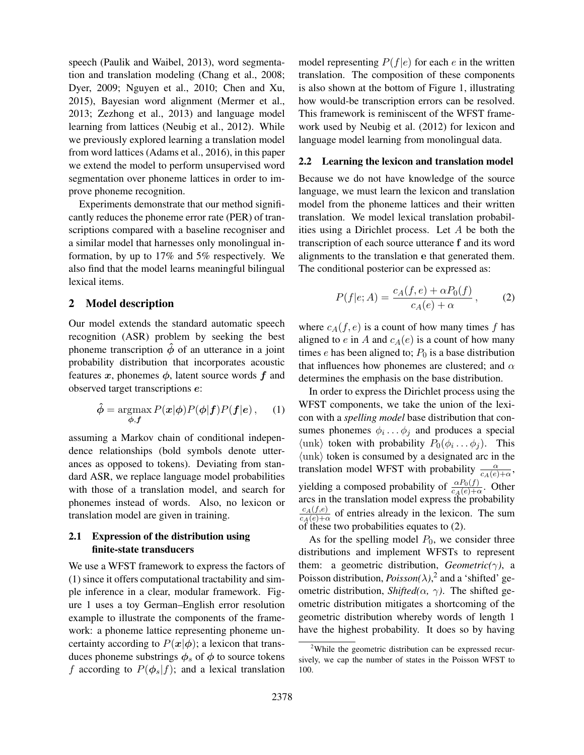speech (Paulik and Waibel, 2013), word segmentation and translation modeling (Chang et al., 2008; Dyer, 2009; Nguyen et al., 2010; Chen and Xu, 2015), Bayesian word alignment (Mermer et al., 2013; Zezhong et al., 2013) and language model learning from lattices (Neubig et al., 2012). While we previously explored learning a translation model from word lattices (Adams et al., 2016), in this paper we extend the model to perform unsupervised word segmentation over phoneme lattices in order to improve phoneme recognition.

Experiments demonstrate that our method significantly reduces the phoneme error rate (PER) of transcriptions compared with a baseline recogniser and a similar model that harnesses only monolingual information, by up to 17% and 5% respectively. We also find that the model learns meaningful bilingual lexical items.

### 2 Model description

Our model extends the standard automatic speech recognition (ASR) problem by seeking the best phoneme transcription  $\hat{\phi}$  of an utterance in a joint probability distribution that incorporates acoustic features x, phonemes  $\phi$ , latent source words f and observed target transcriptions e:

$$
\hat{\phi} = \underset{\phi, f}{\operatorname{argmax}} P(\mathbf{x}|\phi) P(\phi|f) P(f|e), \quad (1)
$$

assuming a Markov chain of conditional independence relationships (bold symbols denote utterances as opposed to tokens). Deviating from standard ASR, we replace language model probabilities with those of a translation model, and search for phonemes instead of words. Also, no lexicon or translation model are given in training.

# 2.1 Expression of the distribution using finite-state transducers

We use a WFST framework to express the factors of (1) since it offers computational tractability and simple inference in a clear, modular framework. Figure 1 uses a toy German–English error resolution example to illustrate the components of the framework: a phoneme lattice representing phoneme uncertainty according to  $P(x|\phi)$ ; a lexicon that transduces phoneme substrings  $\phi_s$  of  $\phi$  to source tokens f according to  $P(\phi_s|f)$ ; and a lexical translation model representing  $P(f|e)$  for each e in the written translation. The composition of these components is also shown at the bottom of Figure 1, illustrating how would-be transcription errors can be resolved. This framework is reminiscent of the WFST framework used by Neubig et al. (2012) for lexicon and language model learning from monolingual data.

### 2.2 Learning the lexicon and translation model

Because we do not have knowledge of the source language, we must learn the lexicon and translation model from the phoneme lattices and their written translation. We model lexical translation probabilities using a Dirichlet process. Let A be both the transcription of each source utterance f and its word alignments to the translation e that generated them. The conditional posterior can be expressed as:

$$
P(f|e;A) = \frac{c_A(f,e) + \alpha P_0(f)}{c_A(e) + \alpha},\qquad(2)
$$

where  $c_A(f, e)$  is a count of how many times f has aligned to  $e$  in  $A$  and  $c_A(e)$  is a count of how many times  $e$  has been aligned to;  $P_0$  is a base distribution that influences how phonemes are clustered; and  $\alpha$ determines the emphasis on the base distribution.

In order to express the Dirichlet process using the WFST components, we take the union of the lexicon with a *spelling model* base distribution that consumes phonemes  $\phi_i \dots \phi_j$  and produces a special  $\langle \text{unk} \rangle$  token with probability  $P_0(\phi_i \dots \phi_j)$ . This  $\langle \text{unk} \rangle$  token is consumed by a designated arc in the translation model WFST with probability  $\frac{\alpha}{c_A(e)+\alpha}$ , yielding a composed probability of  $\frac{\alpha P_0(f)}{c_A(e)+\alpha}$ . Other arcs in the translation model express the probability  $c_A(f,e)$  $\frac{c_A(f,e)}{c_A(e)+\alpha}$  of entries already in the lexicon. The sum of these two probabilities equates to (2).

As for the spelling model  $P_0$ , we consider three distributions and implement WFSTs to represent them: a geometric distribution, *Geometric(*γ*)*, a Poisson distribution,  $Poisson(\lambda)$ ,<sup>2</sup> and a 'shifted' geometric distribution, *Shifted*( $\alpha$ ,  $\gamma$ ). The shifted geometric distribution mitigates a shortcoming of the geometric distribution whereby words of length 1 have the highest probability. It does so by having

<sup>2</sup>While the geometric distribution can be expressed recursively, we cap the number of states in the Poisson WFST to 100.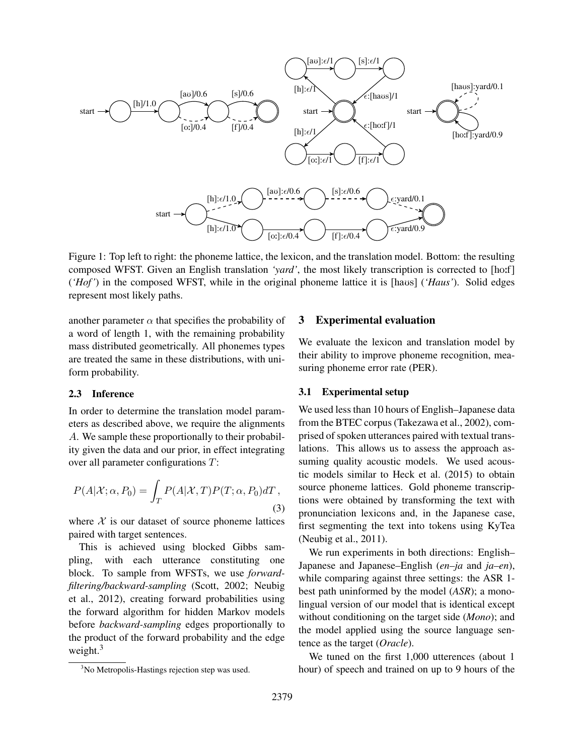

Figure 1: Top left to right: the phoneme lattice, the lexicon, and the translation model. Bottom: the resulting composed WFST. Given an English translation *'yard'*, the most likely transcription is corrected to [ho:f] ('Hof') in the composed WFST, while in the original phoneme lattice it is [havs] ('Haus'). Solid edges represent most likely paths.

another parameter  $\alpha$  that specifies the probability of a word of length 1, with the remaining probability mass distributed geometrically. All phonemes types are treated the same in these distributions, with uniform probability.

#### 2.3 Inference

In order to determine the translation model parameters as described above, we require the alignments A. We sample these proportionally to their probability given the data and our prior, in effect integrating over all parameter configurations T:

$$
P(A|\mathcal{X}; \alpha, P_0) = \int_T P(A|\mathcal{X}, T) P(T; \alpha, P_0) dT,
$$
\n(3)

where  $X$  is our dataset of source phoneme lattices paired with target sentences.

This is achieved using blocked Gibbs sampling, with each utterance constituting one block. To sample from WFSTs, we use *forwardfiltering/backward-sampling* (Scott, 2002; Neubig et al., 2012), creating forward probabilities using the forward algorithm for hidden Markov models before *backward-sampling* edges proportionally to the product of the forward probability and the edge weight.<sup>3</sup>

### 3 Experimental evaluation

We evaluate the lexicon and translation model by their ability to improve phoneme recognition, measuring phoneme error rate (PER).

#### 3.1 Experimental setup

We used less than 10 hours of English–Japanese data from the BTEC corpus (Takezawa et al., 2002), comprised of spoken utterances paired with textual translations. This allows us to assess the approach assuming quality acoustic models. We used acoustic models similar to Heck et al. (2015) to obtain source phoneme lattices. Gold phoneme transcriptions were obtained by transforming the text with pronunciation lexicons and, in the Japanese case, first segmenting the text into tokens using KyTea (Neubig et al., 2011).

We run experiments in both directions: English– Japanese and Japanese–English (*en–ja* and *ja–en*), while comparing against three settings: the ASR 1best path uninformed by the model (*ASR*); a monolingual version of our model that is identical except without conditioning on the target side (*Mono*); and the model applied using the source language sentence as the target (*Oracle*).

We tuned on the first 1,000 utterences (about 1 hour) of speech and trained on up to 9 hours of the

<sup>&</sup>lt;sup>3</sup>No Metropolis-Hastings rejection step was used.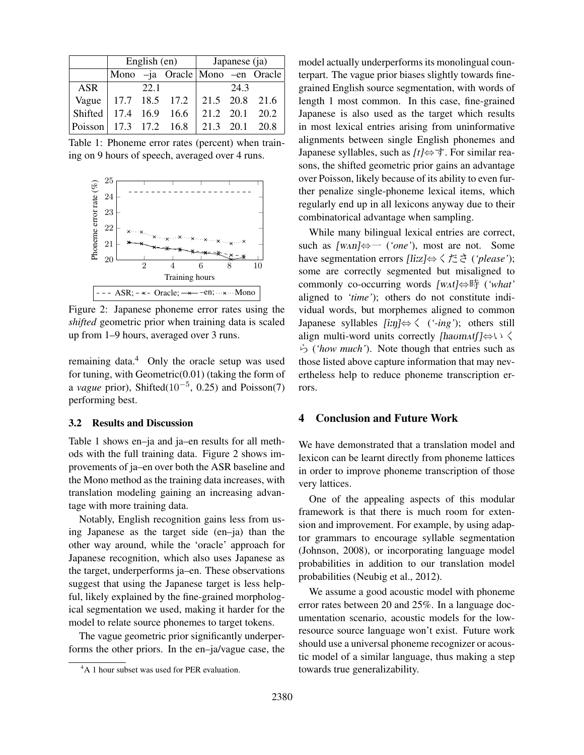|                            | English (en) |      |                                   | Japanese (ja) |      |                |
|----------------------------|--------------|------|-----------------------------------|---------------|------|----------------|
|                            |              |      | Mono -ja Oracle   Mono -en Oracle |               |      |                |
| <b>ASR</b>                 |              | 22.1 |                                   |               | 24.3 |                |
| Vague                      |              |      | 17.7 18.5 17.2 21.5 20.8 21.6     |               |      |                |
| Shifted 17.4 16.9 16.6     |              |      |                                   |               |      | 21.2 20.1 20.2 |
| $ Poisson $ 17.3 17.2 16.8 |              |      |                                   |               |      | 21.3 20.1 20.8 |

Table 1: Phoneme error rates (percent) when training on 9 hours of speech, averaged over 4 runs.



Figure 2: Japanese phoneme error rates using the *shifted* geometric prior when training data is scaled up from 1–9 hours, averaged over 3 runs.

remaining data.<sup>4</sup> Only the oracle setup was used for tuning, with Geometric $(0.01)$  (taking the form of a *vague* prior), Shifted(10−<sup>5</sup> , 0.25) and Poisson(7) performing best.

#### 3.2 Results and Discussion

Table 1 shows en–ja and ja–en results for all methods with the full training data. Figure 2 shows improvements of ja–en over both the ASR baseline and the Mono method as the training data increases, with translation modeling gaining an increasing advantage with more training data.

Notably, English recognition gains less from using Japanese as the target side (en–ja) than the other way around, while the 'oracle' approach for Japanese recognition, which also uses Japanese as the target, underperforms ja–en. These observations suggest that using the Japanese target is less helpful, likely explained by the fine-grained morphological segmentation we used, making it harder for the model to relate source phonemes to target tokens.

The vague geometric prior significantly underperforms the other priors. In the en–ja/vague case, the model actually underperforms its monolingual counterpart. The vague prior biases slightly towards finegrained English source segmentation, with words of length 1 most common. In this case, fine-grained Japanese is also used as the target which results in most lexical entries arising from uninformative alignments between single English phonemes and Japanese syllables, such as *[t]*⇔す. For similar reasons, the shifted geometric prior gains an advantage over Poisson, likely because of its ability to even further penalize single-phoneme lexical items, which regularly end up in all lexicons anyway due to their combinatorical advantage when sampling.

While many bilingual lexical entries are correct, such as  $\lceil \text{wan} \rceil \Leftrightarrow$  (*'one'*), most are not. Some have segmentation errors [li:z]⇔くださ (*'please'*); some are correctly segmented but misaligned to commonly co-occurring words [w2t]⇔時 (*'what'* aligned to *'time'*); others do not constitute individual words, but morphemes aligned to common Japanese syllables [i:N]⇔く (*'-ing'*); others still align multi-word units correctly [havm $\Lambda f$ ] $\Leftrightarrow$ ら (*'how much'*). Note though that entries such as those listed above capture information that may nevertheless help to reduce phoneme transcription errors.

# 4 Conclusion and Future Work

We have demonstrated that a translation model and lexicon can be learnt directly from phoneme lattices in order to improve phoneme transcription of those very lattices.

One of the appealing aspects of this modular framework is that there is much room for extension and improvement. For example, by using adaptor grammars to encourage syllable segmentation (Johnson, 2008), or incorporating language model probabilities in addition to our translation model probabilities (Neubig et al., 2012).

We assume a good acoustic model with phoneme error rates between 20 and 25%. In a language documentation scenario, acoustic models for the lowresource source language won't exist. Future work should use a universal phoneme recognizer or acoustic model of a similar language, thus making a step towards true generalizability.

<sup>&</sup>lt;sup>4</sup>A 1 hour subset was used for PER evaluation.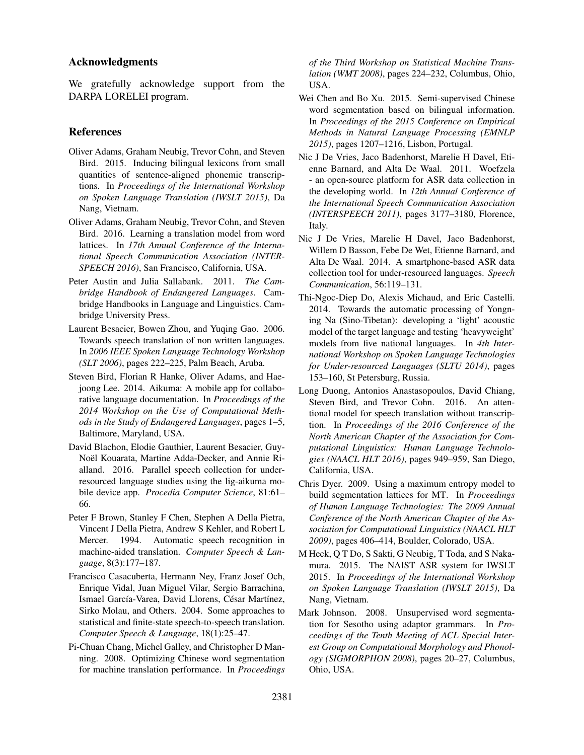### Acknowledgments

We gratefully acknowledge support from the DARPA LORELEI program.

#### References

- Oliver Adams, Graham Neubig, Trevor Cohn, and Steven Bird. 2015. Inducing bilingual lexicons from small quantities of sentence-aligned phonemic transcriptions. In *Proceedings of the International Workshop on Spoken Language Translation (IWSLT 2015)*, Da Nang, Vietnam.
- Oliver Adams, Graham Neubig, Trevor Cohn, and Steven Bird. 2016. Learning a translation model from word lattices. In *17th Annual Conference of the International Speech Communication Association (INTER-SPEECH 2016)*, San Francisco, California, USA.
- Peter Austin and Julia Sallabank. 2011. *The Cambridge Handbook of Endangered Languages*. Cambridge Handbooks in Language and Linguistics. Cambridge University Press.
- Laurent Besacier, Bowen Zhou, and Yuqing Gao. 2006. Towards speech translation of non written languages. In *2006 IEEE Spoken Language Technology Workshop (SLT 2006)*, pages 222–225, Palm Beach, Aruba.
- Steven Bird, Florian R Hanke, Oliver Adams, and Haejoong Lee. 2014. Aikuma: A mobile app for collaborative language documentation. In *Proceedings of the 2014 Workshop on the Use of Computational Methods in the Study of Endangered Languages*, pages 1–5, Baltimore, Maryland, USA.
- David Blachon, Elodie Gauthier, Laurent Besacier, Guy-Noël Kouarata, Martine Adda-Decker, and Annie Rialland. 2016. Parallel speech collection for underresourced language studies using the lig-aikuma mobile device app. *Procedia Computer Science*, 81:61– 66.
- Peter F Brown, Stanley F Chen, Stephen A Della Pietra, Vincent J Della Pietra, Andrew S Kehler, and Robert L Mercer. 1994. Automatic speech recognition in machine-aided translation. *Computer Speech & Language*, 8(3):177–187.
- Francisco Casacuberta, Hermann Ney, Franz Josef Och, Enrique Vidal, Juan Miguel Vilar, Sergio Barrachina, Ismael García-Varea, David Llorens, César Martínez, Sirko Molau, and Others. 2004. Some approaches to statistical and finite-state speech-to-speech translation. *Computer Speech & Language*, 18(1):25–47.
- Pi-Chuan Chang, Michel Galley, and Christopher D Manning. 2008. Optimizing Chinese word segmentation for machine translation performance. In *Proceedings*

*of the Third Workshop on Statistical Machine Translation (WMT 2008)*, pages 224–232, Columbus, Ohio, USA.

- Wei Chen and Bo Xu. 2015. Semi-supervised Chinese word segmentation based on bilingual information. In *Proceedings of the 2015 Conference on Empirical Methods in Natural Language Processing (EMNLP 2015)*, pages 1207–1216, Lisbon, Portugal.
- Nic J De Vries, Jaco Badenhorst, Marelie H Davel, Etienne Barnard, and Alta De Waal. 2011. Woefzela - an open-source platform for ASR data collection in the developing world. In *12th Annual Conference of the International Speech Communication Association (INTERSPEECH 2011)*, pages 3177–3180, Florence, Italy.
- Nic J De Vries, Marelie H Davel, Jaco Badenhorst, Willem D Basson, Febe De Wet, Etienne Barnard, and Alta De Waal. 2014. A smartphone-based ASR data collection tool for under-resourced languages. *Speech Communication*, 56:119–131.
- Thi-Ngoc-Diep Do, Alexis Michaud, and Eric Castelli. 2014. Towards the automatic processing of Yongning Na (Sino-Tibetan): developing a 'light' acoustic model of the target language and testing 'heavyweight' models from five national languages. In *4th International Workshop on Spoken Language Technologies for Under-resourced Languages (SLTU 2014)*, pages 153–160, St Petersburg, Russia.
- Long Duong, Antonios Anastasopoulos, David Chiang, Steven Bird, and Trevor Cohn. 2016. An attentional model for speech translation without transcription. In *Proceedings of the 2016 Conference of the North American Chapter of the Association for Computational Linguistics: Human Language Technologies (NAACL HLT 2016)*, pages 949–959, San Diego, California, USA.
- Chris Dyer. 2009. Using a maximum entropy model to build segmentation lattices for MT. In *Proceedings of Human Language Technologies: The 2009 Annual Conference of the North American Chapter of the Association for Computational Linguistics (NAACL HLT 2009)*, pages 406–414, Boulder, Colorado, USA.
- M Heck, Q T Do, S Sakti, G Neubig, T Toda, and S Nakamura. 2015. The NAIST ASR system for IWSLT 2015. In *Proceedings of the International Workshop on Spoken Language Translation (IWSLT 2015)*, Da Nang, Vietnam.
- Mark Johnson. 2008. Unsupervised word segmentation for Sesotho using adaptor grammars. In *Proceedings of the Tenth Meeting of ACL Special Interest Group on Computational Morphology and Phonology (SIGMORPHON 2008)*, pages 20–27, Columbus, Ohio, USA.